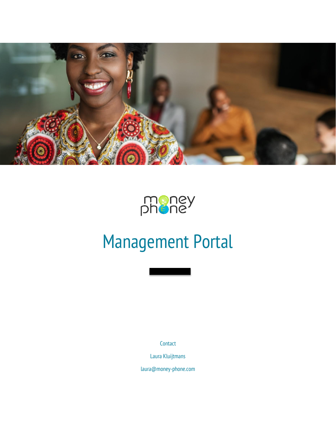



# Management Portal

Contact

Laura Kluijtmans

laura@money-phone.com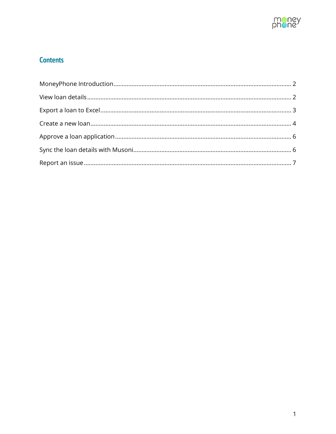

## **Contents**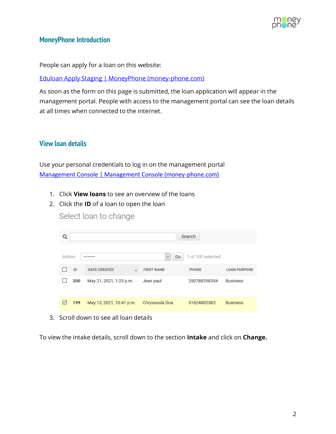

#### <span id="page-2-0"></span>**MoneyPhone Introduction**

People can apply for a loan on this website:

[Eduloan Apply Staging | MoneyPhone \(money-phone.com\)](https://www.money-phone.com/eduloan-apply-staging)

As soon as the form on this page is submitted, the loan application will appear in the management portal. People with access to the management portal can see the loan details at all times when connected to the internet.

## <span id="page-2-1"></span>**View loan details**

Use your personal credentials to log in on the management portal [Management Console | Management Console \(money-phone.com\)](https://eduloan-staging.money-phone.com/console/)

- 1. Click **View loans** to see an overview of the loans
- 2. Click the **ID** of a loan to open the loan

| Q       |     |                          |                    | Search            |                     |
|---------|-----|--------------------------|--------------------|-------------------|---------------------|
| Action: |     |                          | Go<br>$\checkmark$ | 1 of 100 selected |                     |
|         | ID  | <b>DATE CREATED</b>      | <b>FIRST NAME</b>  | PHONE             | <b>LOAN PURPOSE</b> |
|         | 200 | May 21, 2021, 1:23 p.m.  | Jean paul          | 250788298354      | <b>Business</b>     |
| M       | 199 | May 13, 2021, 10:41 p.m. | Chryssoula Doa     | 31624802383       | <b>Business</b>     |

3. Scroll down to see all loan details

To view the intake details, scroll down to the section **Intake** and click on **Change.**

Select loan to change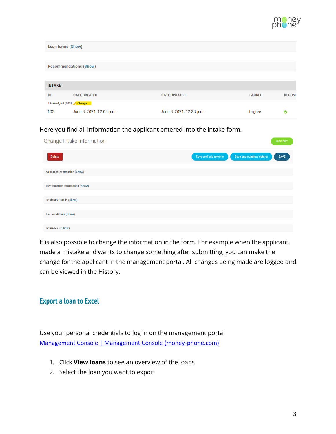

| Loan terms (Show)                 |                               |                          |                |                |
|-----------------------------------|-------------------------------|--------------------------|----------------|----------------|
|                                   |                               |                          |                |                |
|                                   | <b>Recommendations (Show)</b> |                          |                |                |
|                                   |                               |                          |                |                |
| <b>INTAKE</b>                     |                               |                          |                |                |
| ID                                | <b>DATE CREATED</b>           | <b>DATE UPDATED</b>      | <b>I AGREE</b> | <b>IS COMI</b> |
| Intake object (103) <b>Change</b> |                               |                          |                |                |
| 103                               | June 3, 2021, 12:03 p.m.      | June 3, 2021, 12:38 p.m. | l agree        | ◎              |

#### Here you find all information the applicant entered into the intake form.

| Change Intake information                | <b>HISTORY</b>                                                   |
|------------------------------------------|------------------------------------------------------------------|
| <b>Delete</b>                            | Save and continue editing<br>Save and add another<br><b>SAVE</b> |
| <b>Applicant Information (Show)</b>      |                                                                  |
| <b>Identification Information (Show)</b> |                                                                  |
| <b>Student's Details (Show)</b>          |                                                                  |
| <b>Income details (Show)</b>             |                                                                  |
| references (Show)                        |                                                                  |

It is also possible to change the information in the form. For example when the applicant made a mistake and wants to change something after submitting, you can make the change for the applicant in the management portal. All changes being made are logged and can be viewed in the History.

#### <span id="page-3-0"></span>**Export a loan to Excel**

Use your personal credentials to log in on the management portal [Management Console | Management Console \(money-phone.com\)](https://eduloan-staging.money-phone.com/console/)

- 1. Click **View loans** to see an overview of the loans
- 2. Select the loan you want to export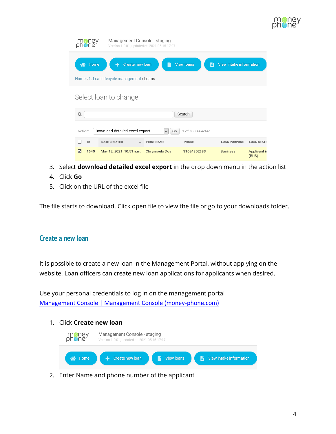

| Management Console - staging<br>Version 1.0.01, updated at: 2021-05-15 17:07                                                      |                          |                   |             |                     |                       |  |
|-----------------------------------------------------------------------------------------------------------------------------------|--------------------------|-------------------|-------------|---------------------|-----------------------|--|
| <b>View loans</b><br>Create new loan<br>View intake information<br>Home<br>Ж<br>Eì<br>Home > 1. Loan lifecycle management > Loans |                          |                   |             |                     |                       |  |
|                                                                                                                                   | Select loan to change    |                   |             |                     |                       |  |
| Q                                                                                                                                 | Search                   |                   |             |                     |                       |  |
| Download detailed excel export<br>of 100 selected<br>Action:<br>Go<br>$\checkmark$                                                |                          |                   |             |                     |                       |  |
| ID                                                                                                                                | <b>DATE CREATED</b>      | <b>FIRST NAME</b> | PHONE       | <b>LOAN PURPOSE</b> | <b>LOAN STATE</b>     |  |
| 1545<br>⋉                                                                                                                         | May 12, 2021, 10:51 a.m. | Chryssoula Doa    | 31624802383 | <b>Business</b>     | Applicant is<br>(BUS) |  |

- 3. Select **download detailed excel export** in the drop down menu in the action list
- 4. Click **Go**
- 5. Click on the URL of the excel file

The file starts to download. Click open file to view the file or go to your downloads folder.

#### <span id="page-4-0"></span>**Create a new loan**

It is possible to create a new loan in the Management Portal, without applying on the website. Loan officers can create new loan applications for applicants when desired.

Use your personal credentials to log in on the management portal [Management Console | Management Console \(money-phone.com\)](https://eduloan-staging.money-phone.com/console/)

1. Click **Create new loan**



2. Enter Name and phone number of the applicant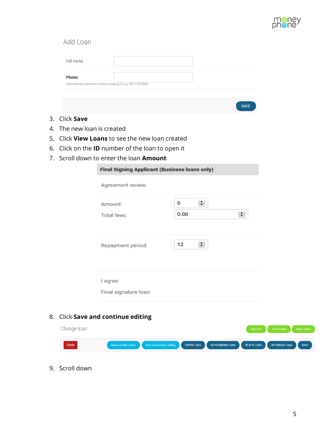

## Add Loan

|                                         |  | Full name:              |                                                             |                    |               |
|-----------------------------------------|--|-------------------------|-------------------------------------------------------------|--------------------|---------------|
|                                         |  | Phone:                  | international extension without leading 0, e.g. 96277032883 |                    |               |
|                                         |  |                         |                                                             |                    |               |
|                                         |  |                         |                                                             |                    | <b>SAVE</b>   |
| 3.                                      |  | Click Save              |                                                             |                    |               |
| 4.                                      |  | The new loan is created |                                                             |                    |               |
| 5.                                      |  |                         | Click View Loans to see the new loan created                |                    |               |
|                                         |  |                         | 6. Click on the <b>ID</b> number of the loan to open it     |                    |               |
| 7. Scroll down to enter the loan Amount |  |                         |                                                             |                    |               |
|                                         |  |                         | <b>Final Signing Applicant (Business loans only)</b>        |                    |               |
|                                         |  |                         | Agreement review:                                           |                    |               |
|                                         |  |                         | Amount:                                                     | $\Rightarrow$<br>0 |               |
|                                         |  |                         | Total fees:                                                 | 0.00               | $\Rightarrow$ |
|                                         |  |                         |                                                             |                    |               |
|                                         |  |                         | Repayment period:                                           | $\div$<br>12       |               |
|                                         |  |                         | I agree:                                                    |                    |               |

Final signature loan:

## 8. Click **Save and continue editing**

| Change loan   |                                                          |                    |                  | <b>HISTORY</b> | <b>PREV. LOAN</b> | NEXT LOAN   |
|---------------|----------------------------------------------------------|--------------------|------------------|----------------|-------------------|-------------|
| <b>Delete</b> | Save and add another <b>CO</b> Save and continue editing | <b>EXPIRE LOAN</b> | OUTSTANDING LOAN | REJECT LOAN    | WITHDRAW LOAN     | <b>SAVE</b> |

9. Scroll down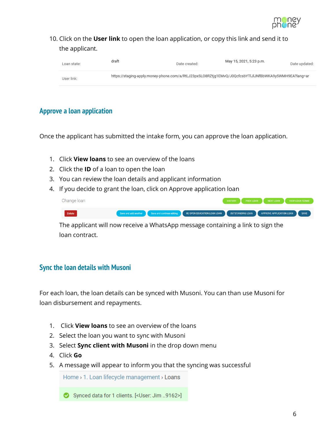

10. Click on the **User link** to open the loan application, or copy this link and send it to the applicant.

| Loan state: | draft | Date created: | May 15, 2021, 5:23 p.m.                                                                               | Date updated: |
|-------------|-------|---------------|-------------------------------------------------------------------------------------------------------|---------------|
| User link:  |       |               | https://staging-apply.money-phone.com/a/RtLJ23pxSLO8RZtjg1EMvQ/J0QcfcsbYTlJlJNfBbWKA9y5WMH9EA?lang=ar |               |

## <span id="page-6-0"></span>**Approve a loan application**

Once the applicant has submitted the intake form, you can approve the loan application.

- 1. Click **View loans** to see an overview of the loans
- 2. Click the **ID** of a loan to open the loan
- 3. You can review the loan details and applicant information
- 4. If you decide to grant the loan, click on Approve application loan

| Change Ioan |                                                                                                                     | HISTORY PREV. LOAN NEXT LOAN VIEW LOAN TERMS |
|-------------|---------------------------------------------------------------------------------------------------------------------|----------------------------------------------|
| Delete      | Save and add another Save and continue editing RE OPEN EDUCATION LOAN LOAN UTSTANDING LOAN APPROVE APPLICATION LOAN |                                              |

The applicant will now receive a WhatsApp message containing a link to sign the loan contract.

## <span id="page-6-1"></span>**Sync the loan details with Musoni**

For each loan, the loan details can be synced with Musoni. You can than use Musoni for loan disbursement and repayments.

- 1. Click **View loans** to see an overview of the loans
- 2. Select the loan you want to sync with Musoni
- 3. Select **Sync client with Musoni** in the drop down menu
- 4. Click **Go**
- 5. A message will appear to inform you that the syncing was successful

Home > 1. Loan lifecycle management > Loans

Synced data for 1 clients. [<User: Jim ..9162>]